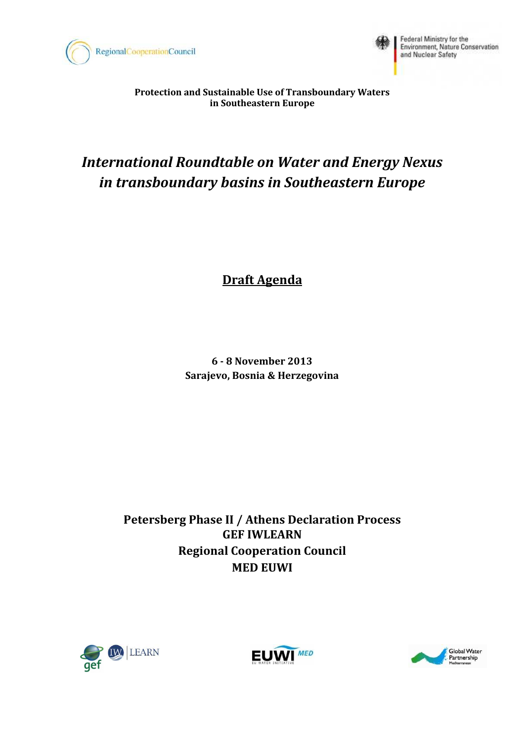



Federal Ministry for the Environment, Nature Conservation<br>and Nuclear Safety

**Protection and Sustainable Use of Transboundary Waters in Southeastern Europe**

# *International Roundtable on Water and Energy Nexus in transboundary basins in Southeastern Europe*

## **Draft Agenda**

**6 - 8 November 2013 Sarajevo, Bosnia & Herzegovina**

**Petersberg Phase II / Athens Declaration Process GEF IWLEARN Regional Cooperation Council MED EUWI** 





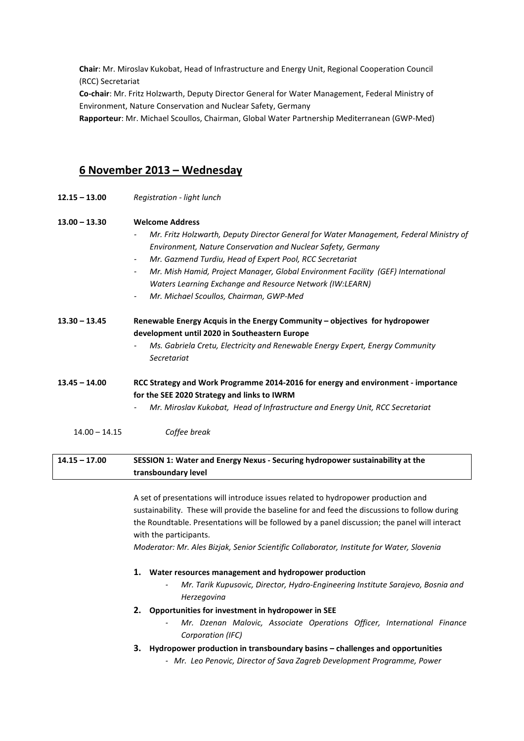**Chair**: Mr. Miroslav Kukobat, Head of Infrastructure and Energy Unit, Regional Cooperation Council (RCC) Secretariat

**Co-chair**: Mr. Fritz Holzwarth, Deputy Director General for Water Management, Federal Ministry of Environment, Nature Conservation and Nuclear Safety, Germany

**Rapporteur**: Mr. Michael Scoullos, Chairman, Global Water Partnership Mediterranean (GWP-Med)

## **6 November 2013 – Wednesday**

**12.15 – 13.00** *Registration - light lunch* 

#### **13.00 – 13.30 Welcome Address**

- *- Mr. Fritz Holzwarth, Deputy Director General for Water Management, Federal Ministry of Environment, Nature Conservation and Nuclear Safety, Germany*
- *- Mr. Gazmend Turdiu, Head of Expert Pool, RCC Secretariat*
- *- Mr. Mish Hamid, Project Manager, Global Environment Facility (GEF) International Waters Learning Exchange and Resource Network (IW:LEARN)*
- *- Mr. Michael Scoullos, Chairman, GWP-Med*

**13.30 – 13.45 Renewable Energy Acquis in the Energy Community – objectives for hydropower development until 2020 in Southeastern Europe** 

> *- Ms. Gabriela Cretu, Electricity and Renewable Energy Expert, Energy Community Secretariat*

**13.45 – 14.00 RCC Strategy and Work Programme 2014-2016 for energy and environment - importance for the SEE 2020 Strategy and links to IWRM** 

- *- Mr. Miroslav Kukobat, Head of Infrastructure and Energy Unit, RCC Secretariat*
- 14.00 14.15 *Coffee break*

## **14.15 – 17.00 SESSION 1: Water and Energy Nexus - Securing hydropower sustainability at the transboundary level**

A set of presentations will introduce issues related to hydropower production and sustainability. These will provide the baseline for and feed the discussions to follow during the Roundtable. Presentations will be followed by a panel discussion; the panel will interact with the participants.

*Moderator: Mr. Ales Bizjak, Senior Scientific Collaborator, Institute for Water, Slovenia* 

#### **1. Water resources management and hydropower production**

- *- Mr. Tarik Kupusovic, Director, Hydro-Engineering Institute Sarajevo, Bosnia and Herzegovina*
- **2. Opportunities for investment in hydropower in SEE** 
	- *- Mr. Dzenan Malovic, Associate Operations Officer, International Finance Corporation (IFC)*
- **3. Hydropower production in transboundary basins challenges and opportunities** 
	- *- Mr. Leo Penovic, Director of Sava Zagreb Development Programme, Power*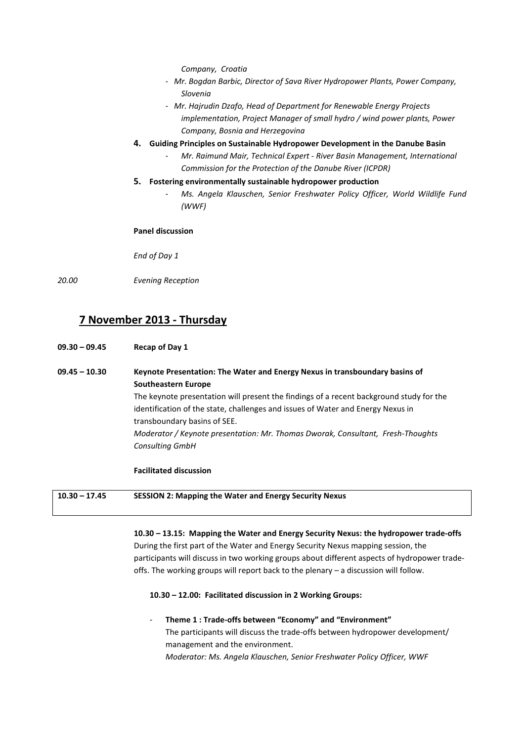*Company, Croatia* 

- *- Mr. Bogdan Barbic, Director of Sava River Hydropower Plants, Power Company, Slovenia*
- *- Mr. Hajrudin Dzafo, Head of Department for Renewable Energy Projects implementation, Project Manager of small hydro / wind power plants, Power Company, Bosnia and Herzegovina*
- **4. Guiding Principles on Sustainable Hydropower Development in the Danube Basin** 
	- *- Mr. Raimund Mair, Technical Expert River Basin Management, International Commission for the Protection of the Danube River (ICPDR)*
- **5. Fostering environmentally sustainable hydropower production** 
	- *- Ms. Angela Klauschen, Senior Freshwater Policy Officer, World Wildlife Fund (WWF)*

#### **Panel discussion**

*End of Day 1* 

*20.00 Evening Reception* 

## **7 November 2013 - Thursday**

**09.30 – 09.45 Recap of Day 1** 

**09.45 – 10.30 Keynote Presentation: The Water and Energy Nexus in transboundary basins of Southeastern Europe**  The keynote presentation will present the findings of a recent background study for the identification of the state, challenges and issues of Water and Energy Nexus in transboundary basins of SEE. *Moderator / Keynote presentation: Mr. Thomas Dworak, Consultant, Fresh-Thoughts Consulting GmbH* 

#### **Facilitated discussion**

**10.30 – 17.45 SESSION 2: Mapping the Water and Energy Security Nexus** 

 **10.30 – 13.15: Mapping the Water and Energy Security Nexus: the hydropower trade-offs**  During the first part of the Water and Energy Security Nexus mapping session, the participants will discuss in two working groups about different aspects of hydropower tradeoffs. The working groups will report back to the plenary – a discussion will follow.

#### **10.30 – 12.00: Facilitated discussion in 2 Working Groups:**

*-* **Theme 1 : Trade-offs between "Economy" and "Environment"**  The participants will discuss the trade-offs between hydropower development/ management and the environment. *Moderator: Ms. Angela Klauschen, Senior Freshwater Policy Officer, WWF*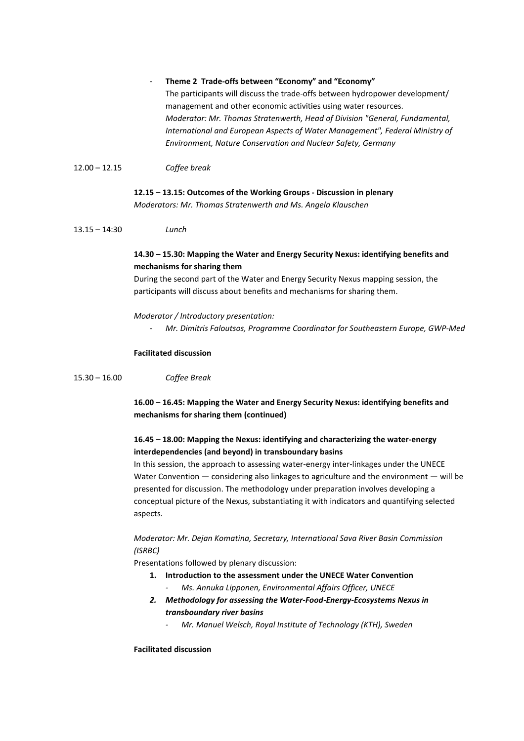#### *-* **Theme 2 Trade-offs between "Economy" and "Economy"**

The participants will discuss the trade-offs between hydropower development/ management and other economic activities using water resources. *Moderator: Mr. Thomas Stratenwerth, Head of Division "General, Fundamental, International and European Aspects of Water Management", Federal Ministry of Environment, Nature Conservation and Nuclear Safety, Germany*

12.00 – 12.15 *Coffee break* 

#### **12.15 – 13.15: Outcomes of the Working Groups - Discussion in plenary**

*Moderators: Mr. Thomas Stratenwerth and Ms. Angela Klauschen*

13.15 – 14:30 *Lunch* 

## **14.30 – 15.30: Mapping the Water and Energy Security Nexus: identifying benefits and mechanisms for sharing them**

During the second part of the Water and Energy Security Nexus mapping session, the participants will discuss about benefits and mechanisms for sharing them.

#### *Moderator / Introductory presentation:*

*- Mr. Dimitris Faloutsos, Programme Coordinator for Southeastern Europe, GWP-Med*

#### **Facilitated discussion**

15.30 – 16.00 *Coffee Break* 

 **16.00 – 16.45: Mapping the Water and Energy Security Nexus: identifying benefits and mechanisms for sharing them (continued)** 

## **16.45 – 18.00: Mapping the Nexus: identifying and characterizing the water-energy interdependencies (and beyond) in transboundary basins**

In this session, the approach to assessing water-energy inter-linkages under the UNECE Water Convention — considering also linkages to agriculture and the environment — will be presented for discussion. The methodology under preparation involves developing a conceptual picture of the Nexus, substantiating it with indicators and quantifying selected aspects.

## *Moderator: Mr. Dejan Komatina, Secretary, International Sava River Basin Commission (ISRBC)*

Presentations followed by plenary discussion:

- **1. Introduction to the assessment under the UNECE Water Convention** *- Ms. Annuka Lipponen, Environmental Affairs Officer, UNECE*
- *2. Methodology for assessing the Water-Food-Energy-Ecosystems Nexus in transboundary river basins* 
	- *- Mr. Manuel Welsch, Royal Institute of Technology (KTH), Sweden*

**Facilitated discussion**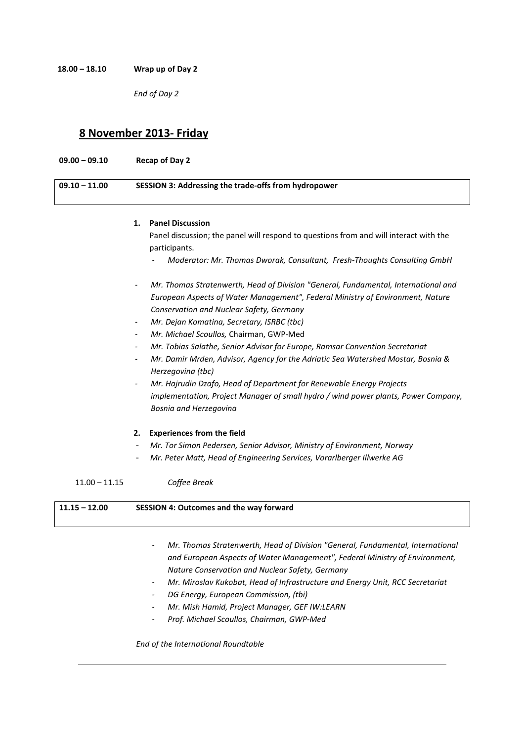**18.00 – 18.10 Wrap up of Day 2** 

*End of Day 2* 

## **8 November 2013- Friday**

**09.00 – 09.10 Recap of Day 2 09.10 – 11.00 SESSION 3: Addressing the trade-offs from hydropower** 

#### **1. Panel Discussion**

Panel discussion; the panel will respond to questions from and will interact with the participants.

- *- Moderator: Mr. Thomas Dworak, Consultant, Fresh-Thoughts Consulting GmbH*
- *- Mr. Thomas Stratenwerth, Head of Division "General, Fundamental, International and European Aspects of Water Management", Federal Ministry of Environment, Nature Conservation and Nuclear Safety, Germany*
- *- Mr. Dejan Komatina, Secretary, ISRBC (tbc)*
- *- Mr. Michael Scoullos,* Chairman, GWP-Med
- *- Mr. Tobias Salathe, Senior Advisor for Europe, Ramsar Convention Secretariat*
- *- Mr. Damir Mrden, Advisor, Agency for the Adriatic Sea Watershed Mostar, Bosnia & Herzegovina (tbc)*
- *- Mr. Hajrudin Dzafo, Head of Department for Renewable Energy Projects implementation, Project Manager of small hydro / wind power plants, Power Company, Bosnia and Herzegovina*

#### **2. Experiences from the field**

- *Mr. Tor Simon Pedersen, Senior Advisor, Ministry of Environment, Norway*
- *Mr. Peter Matt, Head of Engineering Services, Vorarlberger Illwerke AG*

## 11.00 – 11.15 *Coffee Break*

| $11.15 - 12.00$ | <b>SESSION 4: Outcomes and the way forward</b> |
|-----------------|------------------------------------------------|
|                 |                                                |

- *- Mr. Thomas Stratenwerth, Head of Division "General, Fundamental, International and European Aspects of Water Management", Federal Ministry of Environment, Nature Conservation and Nuclear Safety, Germany*
- *- Mr. Miroslav Kukobat, Head of Infrastructure and Energy Unit, RCC Secretariat*
- *- DG Energy, European Commission, (tbi)*
- *- Mr. Mish Hamid, Project Manager, GEF IW:LEARN*
- *- Prof. Michael Scoullos, Chairman, GWP-Med*

*End of the International Roundtable*